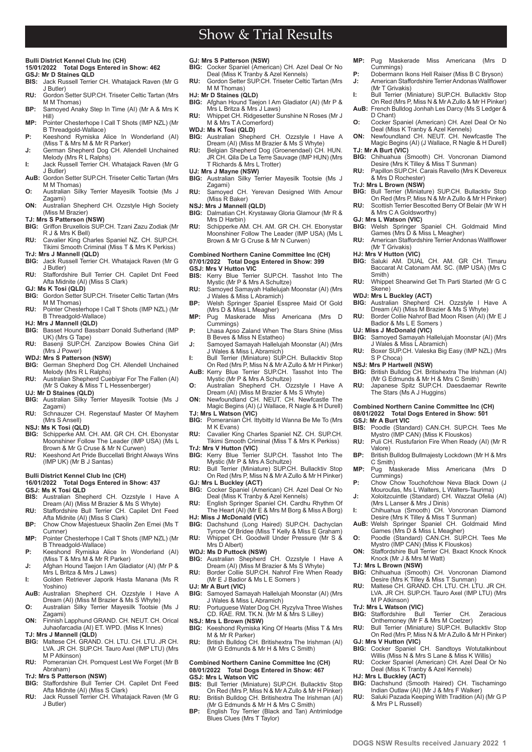# Show & Trial Results

#### **Bulli District Kennel Club Inc (CH) 15/01/2022 Total Dogs Entered in Show: 462**

# **GSJ: Mr D Staines QLD**<br>**BIS:** Jack Russell Terrie

- **BIS:** Jack Russell Terrier CH. Whatajack Raven (Mr G J Butler)
- **RU:** Gordon Setter SUP.CH. Triseter Celtic Tartan (Mrs M M Thomas)
- **BP:** Samoyed Anaky Step In Time (AI) (Mr A & Mrs K Hill)
- **MP:** Pointer Chesterhope I Call T Shots (IMP NZL) (Mr B Threadgold-Wallace)
- **P:** Keeshond Rymiska Alice In Wonderland (AI)<br>(Miss T & Mrs M & Mr R Parker) **J:** German Shepherd Dog CH. Allendell Unchained
- Melody (Mrs R L Ralphs) **I:** Jack Russell Terrier CH. Whatajack Raven (Mr G
- J Butler) **AuB:** Gordon Setter SUP.CH. Triseter Celtic Tartan (Mrs
- M M Thomas)
- **O:** Australian Silky Terrier Mayesilk Tootsie (Ms J Zagami)
- **ON:** Australian Shepherd CH. Ozzstyle High Society (Miss M Brazier)
- **TJ: Mrs S Patterson (NSW)**
- **BIG:** Griffon Bruxellois SUP.CH. Tzani Zazu Zodiak (Mr R J & Mrs K Bell) **RU:** Cavalier King Charles Spaniel NZ. CH. SUP.CH.
- Tikimi Smooth Criminal (Miss T & Mrs K Perkiss) **TrJ: Mrs J Mannell (QLD)**
- **BIG:** Jack Russell Terrier CH. Whatajack Raven (Mr G J Butler)
- **RU:** Staffordshire Bull Terrier CH. Capilet Dnt Feed Afta Midnite (AI) (Miss S Clark)
- **GJ: Ms K Tosi (QLD)**
- **BIG:** Gordon Setter SUP.CH. Triseter Celtic Tartan (Mrs M M Thomas) **RU:** Pointer Chesterhope I Call T Shots (IMP NZL) (Mr
- B Threadgold-Wallace) **HJ: Mrs J Mannell (QLD)**
- **BIG:** Basset Hound Bassbarr Donald Sutherland (IMP UK) (Mrs G Tape) **RU:** Basenji SUP.CH. Zanzipow Bowies China Girl
- (Mrs J Power) **WDJ: Mrs S Patterson (NSW)**
- **BIG:** German Shepherd Dog CH. Allendell Unchained
- Melody (Mrs R L Ralphs) **RU:** Australian Shepherd Cuebiyar For The Fallen (AI) (Mr S Oakey & Miss T L Hessenberger)
- **UJ: Mr D Staines (QLD)**
- **BIG:** Australian Silky Terrier Mayesilk Tootsie (Ms J Zagami)
- **RU:** Schnauzer CH. Regenstauf Master Of Mayhem (Mrs S Ansell)
- **NSJ: Ms K Tosi (QLD)**
- **BIG:** Schipperke AM. CH. AM. GR CH. CH. Ebonystar Moonshiner Follow The Leader (IMP USA) (Ms L Brown & Mr G Cruse & Mr N Curwen)
- **RU:** Keeshond Art Pride Buccellati Bright Always Wins (IMP UK) (Mr B J Santas)

#### **Bulli District Kennel Club Inc (CH)**

- **16/01/2022 Total Dogs Entered in Show: 437 GSJ: Ms K Tosi QLD**
- **BIS:** Australian Shepherd CH. Ozzstyle I Have A Dream (AI) (Miss M Brazier & Ms S Whyte)
- **RU:** Staffordshire Bull Terrier CH. Capilet Dnt Feed Afta Midnite (AI) (Miss S Clark) **BP:** Chow Chow Majestueux Shaolin Zen Emei (Ms T
- Cumner) **MP:** Pointer Chesterhope I Call T Shots (IMP NZL) (Mr
- 
- B Threadgold-Wallace) **P:** Keeshond Rymiska Alice In Wonderland (AI) (Miss T & Mrs M & Mr R Parker)
- **J:** Afghan Hound Taejon I Am Gladiator (AI) (Mr P & Mrs L Britza & Mrs J Laws) **I:** Golden Retriever Japorik Hasta Manana (Ms R
- Yoshino) **AuB:** Australian Shepherd CH. Ozzstyle I Have A
- Dream (AI) (Miss M Brazier & Ms S Whyte) **O:** Australian Silky Terrier Mayesilk Tootsie (Ms J
- Zagami) **ON:** Finnish Lapphund GRAND. CH. NEUT. CH. Orical Juhaofarcadia (AI) ET. WPD. (Miss K Innes)
- **TJ: Mrs J Mannell (QLD)**
- **BIG:** Maltese CH. GRAND. CH. LTU. CH. LTU. JR CH. LVA. JR CH. SUP.CH. Tauro Axel (IMP LTU) (Mrs M P Atkinson)
- **RU:** Pomeranian CH. Pomquest Lest We Forget (Mr B Abraham)

#### **TrJ: Mrs S Patterson (NSW)**

**PB www.dogsnsw.org.au DOGS NSW Results received January 2022 1**

- **BIG:** Staffordshire Bull Terrier CH. Capilet Dnt Feed Afta Midnite (AI) (Miss S Clark)
- **RU:** Jack Russell Terrier CH. Whatajack Raven (Mr G J Butler)
- **GJ: Mrs S Patterson (NSW) BIG:** Cocker Spaniel (American) CH. Azel Deal Or No
- Deal (Miss K Tranby & Azel Kennels) **RU:** Gordon Setter SUP.CH. Triseter Celtic Tartan (Mrs
- M M Thomas)
- **HJ: Mr D Staines (QLD) BIG:** Afghan Hound Taejon I Am Gladiator (AI) (Mr P & Mrs L Britza & Mrs J Laws)
- **RU:** Whippet CH. Ridgesetter Sunshine N Roses (Mr J M & Mrs T A Comerford)
- **WDJ: Ms K Tosi (QLD)**
- **BIG:** Australian Shepherd CH. Ozzstyle I Have A Dream (AI) (Miss M Brazier & Ms S Whyte)
- **RU:** Belgian Shepherd Dog (Groenendael) CH. HUN. JR CH. Qila De La Terre Sauvage (IMP HUN) (Mrs T Richards & Mrs L Trotter)
- **UJ: Mrs J Mayne (NSW)**
- **BIG:** Australian Silky Terrier Mayesilk Tootsie (Ms J Zagami)
- **RU:** Samoyed CH. Yerevan Designed With Amour (Miss R Baker)
- **NSJ: Mrs J Mannell (QLD)**<br>**BIG:** Dalmatian CH Krysta **BIG:** Dalmatian CH. Krystaway Gloria Glamour (Mr R &
- Mrs D Harbin) **RU:** Schipperke AM. CH. AM. GR CH. CH. Ebonystar
- Moonshiner Follow The Leader (IMP USA) (Ms L Brown & Mr G Cruse & Mr N Curwen)

### **Combined Northern Canine Committee Inc (CH) 07/01/2022 Total Dogs Entered in Show: 399 GSJ: Mrs V Hutton VIC<br>BIS:** Kerry Blue Terrie

- **BIS:** Kerry Blue Terrier SUP.CH. Tasshot Into The Mystic (Mr P & Mrs A Schultze)
- **RU:** Samoyed Samayah Hallelujah Moonstar (AI) (Mrs J Wales & Miss L Abramich)
- **BP:** Welsh Springer Spaniel Esspree Maid Of Gold (Mrs D & Miss L Meagher)
- **MP:** Pug Maskerade Miss Americana (Mrs D Cummings) **P:** Lhasa Apso Zaland When The Stars Shine (Miss
- B Beves & Miss N Estatheo)
- **J:** Samoyed Samayah Hallelujah Moonstar (AI) (Mrs J Wales & Miss L Abramich)
- **I:** Bull Terrier (Miniature) SUP.CH. Bullacktiv Stop On Red (Mrs P, Miss N & Mr A Zullo & Mr H Pinker)
- **AuB:** Kerry Blue Terrier SUP.CH. Tasshot Into The Mystic (Mr P & Mrs A Schultze) **O:** Australian Shepherd CH. Ozzstyle I Have A
- Dream (AI) (Miss M Brazier & Ms S Whyte) **ON:** Newfoundland CH. NEUT. CH. Newfcastle The Magic Begins (AI) (J Wallace, R Nagle & H Durell)
- **TJ: Mrs L Watson (VIC)**
- Pomeranian CH. Ittybitty Id Wanna Be Me To (Mrs M K Evans) **RU:** Cavalier King Charles Spaniel NZ. CH. SUP.CH.
- Tikimi Smooth Criminal (Miss T & Mrs K Perkiss)
- **TrJ: Mrs V Hutton (VIC) BIG:** Kerry Blue Terrier SUP.CH. Tasshot Into The Mystic (Mr P & Mrs A Schultze)
- **RU:** Bull Terrier (Miniature) SUP.CH. Bullacktiv Stop On Red (Mrs P, Miss N & Mr A Zullo & Mr H Pinker) **GJ: Mrs L Buckley (ACT)**
- **BIG:** Cocker Spaniel (American) CH. Azel Deal Or No Deal (Miss K Tranby & Azel Kennels)
- **RU:** English Springer Spaniel CH. Cardhu Rhythm Of The Heart (AI) (Mr E & Mrs M Borg & Miss A Borg) **HJ: Miss J McDonald (VIC)**
- **BIG:** Dachshund (Long Haired) SUP.CH. Dachyclan Tyrone Of Bridee (Miss T Kelly & Miss E Graham)
- **RU:** Whippet CH. Goodwill Under Pressure (Mr S & Mrs D Albert)
- **WDJ: Ms D Puttock (NSW)**<br>**BIG:** Australian Shepherd **BIG:** Australian Shepherd CH. Ozzstyle I Have A
- Dream (AI) (Miss M Brazier & Ms S Whyte) **RU:** Border Collie SUP.CH. Nahrof Fire When Ready
- (Mr E J Badior & Ms L E Somers ) **UJ: Mr A Burt (VIC)**<br>**BIG:** Samoved San
- Samoyed Samayah Hallelujah Moonstar (AI) (Mrs J Wales & Miss L Abramich) **RU:** Portuguese Water Dog CH. Ryzylva Three Wishes
- CD. RAE. RM. TK.N. (Mr M & Mrs S Lilley)
- **NSJ: Mrs L Brown (NSW)**
- **BIG:** Keeshond Rymiska King Of Hearts (Miss T & Mrs M & Mr R Parker)
- **RU:** British Bulldog CH. Britishextra The Irishman (AI) (Mr G Edmunds & Mr H & Mrs C Smith)

### **Combined Northern Canine Committee Inc (CH) 08/01/2022 Total Dogs Entered in Show: 467 GSJ: Mrs L Watson VIC<br>BIS:** Bull Terrier (Miniat

- Bull Terrier (Miniature) SUP.CH. Bullacktiv Stop On Red (Mrs P, Miss N & Mr A Zullo & Mr H Pinker)
- **RU:** British Bulldog CH. Britishextra The Irishman (AI) (Mr G Edmunds & Mr H & Mrs C Smith) **BP:** English Toy Terrier (Black and Tan) Antrimlodge
- Blues Clues (Mrs T Taylor)
- **MP:** Pug Maskerade Miss Americana (Mrs Cummings)
- **P:** Dobermann Ikons Hell Raiser (Miss B C Bryson) **J:** American Staffordshire Terrier Andonas Wallflower (Mr T Grivakis)
- **I:** Bull Terrier (Miniature) SUP.CH. Bullacktiv Stop On Red (Mrs P, Miss N & Mr A Zullo & Mr H Pinker)
- **AuB:** French Bulldog Jonhah Les Darcy (Ms S Ledger & D Chant)
- **O:** Cocker Spaniel (American) CH. Azel Deal Or No Deal (Miss K Tranby & Azel Kennels) **ON:** Newfoundland CH. NEUT. CH. Newfcastle The
- Magic Begins (AI) (J Wallace, R Nagle & H Durell)

**RU:** Papillon SUP.CH. Carais Ravello (Mrs K Devereux

**BIG:** Bull Terrier (Miniature) SUP.CH. Bullacktiv Stop On Red (Mrs P, Miss N & Mr A Zullo & Mr H Pinker) **RU:** Scottish Terrier Bescotted Berry Of Belair (Mr W H

**GJ: Mrs L Watson (VIC) BIG:** Welsh Springer Spaniel CH. Goldmaid Mind Games (Mrs D & Miss L Meagher) **RU:** American Staffordshire Terrier Andonas Wallflower

**HJ: Mrs V Hutton (VIC) BIG:** Saluki AM. DUAL CH. AM. GR CH. Timaru Baccarat At Catonam AM. SC. (IMP USA) (Mrs C

**RU:** Whippet Shearwind Get Th Parti Started (Mr G C

**BIG:** Samoyed Samayah Hallelujah Moonstar (AI) (Mrs J Wales & Miss L Abramich) **RU:** Boxer SUP.CH. Valeska Big Easy (IMP NZL) (Mrs

**BIG:** British Bulldog CH. Britishextra The Irishman (AI) (Mr G Edmunds & Mr H & Mrs C Smith) **RU:** Japanese Spitz SUP.CH. Daesdaemar Rewrite

**BIS:** Poodle (Standard) CAN.CH. SUP.CH. Tees Me Mystro (IMP CAN) (Miss K Flouskos) **RU:** Puli CH. Rustufarion Fire When Ready (AI) (Mr R

**BP:** British Bulldog Bullmajesty Lockdown (Mr H & Mrs

**MP:** Pug Maskerade Miss Americana (Mrs D

**P:** Chow Chow Touchofchow Neva Black Down (J Mouroufas, Ms L Walters, L Walters-Taurima) **J:** Xoloitzcuintle (Standard) CH. Wazzat Ofelia (AI) (Mrs L Lanser & Mrs J Dinis) **I:** Chihuahua (Smooth) CH. Voncronan Diamond Desire (Mrs K Tilley & Miss T Sunman) **AuB:** Welsh Springer Spaniel CH. Goldmaid Mind

Games (Mrs D & Miss L Meagher)<br> **O:** Poodle (Standard) CAN.CH. SUP.CH. Tees Me<br>
Mystro (IMP CAN) (Miss K Flouskos)<br> **ON:** Staffordshire Bull Terrier CH. Bxact Knock Knock

**BIG:** Chihuahua (Smooth) CH. Voncronan Diamond Desire (Mrs K Tilley & Miss T Sunman) **RU:** Maltese CH. GRAND. CH. LTU. CH. LTU. JR CH. LVA. JR CH. SUP.CH. Tauro Axel (IMP LTU) (Mrs

**BIG:** Staffordshire Bull Terrier CH. Zeracious Onthemoney (Mr F & Mrs M Coetzer) **RU:** Bull Terrier (Miniature) SUP.CH. Bullacktiv Stop On Red (Mrs P, Miss N & Mr A Zullo & Mr H Pinker)

**BIG:** Cocker Spaniel CH. Sandtoys Wotutalkinbout Willis (Miss N & Mrs S Lane & Miss K Willis) **RU:** Cocker Spaniel (American) CH. Azel Deal Or No Deal (Miss K Tranby & Azel Kennels)

**BIG:** Dachshund (Smooth Haired) CH. Tischamingo Indian Outlaw (AI) (Mr J & Mrs F Walker) **RU:** Saluki Pazada Keeping With Tradition (AI) (Mr G P

Knock (Mr J & Mrs M Watt)

**Combined Northern Canine Committee Inc (CH) 08/01/2022 Total Dogs Entered in Show: 501**

**BIG:** Australian Shepherd CH. Ozzstyle I Have A Dream (AI) (Miss M Brazier & Ms S Whyte) **RU:** Border Collie Nahrof Bad Moon Risen (AI) (Mr E J

**TJ: Mr A Burt (VIC) BIG:** Chihuahua (Smooth) CH. Voncronan Diamond Desire (Mrs K Tilley & Miss T Sunman)

& Mrs D Rochester) **TrJ: Mrs L Brown (NSW)**

& Mrs C A Goldsworthy)

Badior & Ms L E Somers ) **UJ: Miss J McDonald (VIC)**

The Stars (Ms A J Huggins)

(Mr T Grivakis)

Smith)

Skene) **WDJ: Mrs L Buckley (ACT)**

S P Choca) **NSJ: Mrs P Hartwell (NSW)**

**GSJ: Mr A Burt VIC**

Valore)

C Smith)

Cummings)

**TJ: Mrs L Brown (NSW)**

M P Atkinson) **TrJ: Mrs L Watson<sup>'</sup> (VIC)**<br>**BIG:** Staffordshire Bull

**GJ: Mrs V Hutton (VIC)**<br>**BIG:** Cocker Spaniel (

**HJ: Mrs L Buckley (ACT)**

& Mrs P L Russell)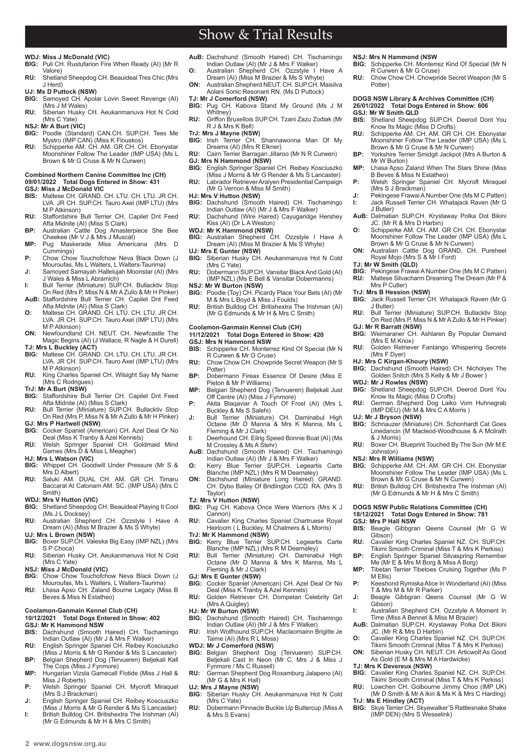Show & Trial Results

#### **WDJ: Miss J McDonald (VIC)**

- **BIG:** Puli CH. Rustufarion Fire When Ready (AI) (Mr R Valore)
- **RU:** Shetland Sheepdog CH. Beauideal Tres Chic (Mrs J Herd)
- **UJ: Ms D Puttock (NSW)**
- **BIG:** Samoyed CH. Apolar Lovin Sweet Revenge (AI) (Mrs J M Wales) **RU:** Siberian Husky CH. Aeukanmanuva Hot N Cold
- (Mrs C Yate)
- **NSJ: Mr A Burt (VIC)**<br>**BIG:** Poodle (Standa
- **BIG:** Poodle (Standard) CAN.CH. SUP.CH. Tees Me Mystro (IMP CAN) (Miss K Flouskos)
- **RU:** Schipperke AM. CH. AM. GR CH. CH. Ebonystar Moonshiner Follow The Leader (IMP USA) (Ms L Brown & Mr G Cruse & Mr N Curwen)

#### **Combined Northern Canine Committee Inc (CH) 09/01/2022 Total Dogs Entered in Show: 431**

- 
- **GSJ: Miss J McDonald VIC BIS:** Maltese CH. GRAND. CH. LTU. CH. LTU. JR CH. LVA. JR CH. SUP.CH. Tauro Axel (IMP LTU) (Mrs M P Atkinson)
- **RU:** Staffordshire Bull Terrier CH. Capilet Dnt Feed Afta Midnite (AI) (Miss S Clark) **BP:** Australian Cattle Dog Amasterpiece She Bee
- Cheekee (Mr V J & Mrs J Muscat) **MP:** Pug Maskerade Miss Americana (Mrs D
- Cummings) **P:** Chow Chow Touchofchow Neva Black Down (J
- Mouroufas, Ms L Walters, L Walters-Taurima) **J:** Samoyed Samayah Hallelujah Moonstar (AI) (Mrs J Wales & Miss L Abramich)
- **I:** Bull Terrier (Miniature) SUP.CH. Bullacktiv Stop
- On Red (Mrs P, Miss N & Mr A Zullo & Mr H Pinker) **AuB:** Staffordshire Bull Terrier CH. Capilet Dnt Feed Afta Midnite (AI) (Miss S Clark)
- **O:** Maltese CH. GRAND. CH. LTU. CH. LTU. JR CH. LVA. JR CH. SUP.CH. Tauro Axel (IMP LTU) (Mrs M P Atkinson)
- **ON:** Newfoundland CH. NEUT. CH. Newfcastle The Magic Begins (AI) (J Wallace, R Nagle & H Durell)
- **TJ: Mrs L Buckley (ACT) BIG:** Maltese CH. GRAND. CH. LTU. CH. LTU. JR CH. LVA. JR CH. SUP.CH. Tauro Axel (IMP LTU) (Mrs M P Atkinson)
- **RU:** King Charles Spaniel CH. Wilsight Say My Name (Mrs C Rodrigues)
- **TrJ: Mr A Burt (NSW) BIG:** Staffordshire Bull Terrier CH. Capilet Dnt Feed
- Afta Midnite (AI) (Miss S Clark) **RU:** Bull Terrier (Miniature) SUP.CH. Bullacktiv Stop On Red (Mrs P, Miss N & Mr A Zullo & Mr H Pinker)
- **GJ: Mrs P Hartwell (NSW)**
- **BIG:** Cocker Spaniel (American) CH. Azel Deal Or No Deal (Miss K Tranby & Azel Kennels) **RU:** Welsh Springer Spaniel CH. Goldmaid Mind
- Games (Mrs D & Miss L Meagher) **HJ: Mrs L Watson (VIC)**
- **BIG:** Whippet CH. Goodwill Under Pressure (Mr S &
- Mrs D Albert) **RU:** Saluki AM. DUAL CH. AM. GR CH. Timaru Baccarat At Catonam AM. SC. (IMP USA) (Mrs C Smith)
- **WDJ: Mrs V Hutton (VIC)**
- Shetland Sheepdog CH. Beauideal Playing It Cool (Ms J L Docksey)
- **RU:** Australian Shepherd CH. Ozzstyle I Have A Dream (AI) (Miss M Brazier & Ms S Whyte)
- **UJ: Mrs L Brown (NSW) BIG:** Boxer SUP.CH. Valeska Big Easy (IMP NZL) (Mrs S P Choca)
- **RU:** Siberian Husky CH. Aeukanmanuva Hot N Cold (Mrs C Yate)
- **NSJ: Miss J McDonald (VIC)**<br>**BIG:** Chow Chow Touchofch
- Chow Chow Touchofchow Neva Black Down (J Mouroufas, Ms L Walters, L Walters-Taurima) **RU:** Lhasa Apso CH. Zaland Bourne Legacy (Miss B
- Beves & Miss N Estatheo)

## **Coolamon-Ganmain Kennel Club (CH)**

- **10/12/2021 Total Dogs Entered in Show: 402 GSJ: Mr K Hammond NSW**
- **BIS:** Dachshund (Smooth Haired) CH. Tischamingo Indian Outlaw (AI) (Mr J & Mrs F Walker)
- **RU:** English Springer Spaniel CH. Reibey Kosciuszko (Miss J Morris & Mr G Render & Ms S Lancaster) **BP:** Belgian Shepherd Dog (Tervueren) Beljekali Kall
- The Cops (Miss J Fynmore) **MP:** Hungarian Vizsla Gamecall Flotide (Miss J Hall &
- Miss J Roberts) **P:** Welsh Springer Spaniel CH. Mycroft Miraquel
- (Mrs S J Brackman)
- **J:** English Springer Spaniel CH. Reibey Kosciuszko (Miss J Morris & Mr G Render & Ms S Lancaster) **I:** British Bulldog CH. Britishextra The Irishman (AI) (Mr G Edmunds & Mr H & Mrs C Smith)
- **AuB:** Dachshund (Smooth Haired) CH. Tischamingo Indian Outlaw (AI) (Mr J & Mrs F Walker) **O:** Australian Shepherd CH. Ozzstyle I Have A
- Dream (AI) (Miss M Brazier & Ms S Whyte) **ON:** Australian Shepherd NEUT. CH. SUP.CH. Maisilva
- Aolani Sonic Resonant RN. (Ms D Puttock) **TJ: Mr J Comerford (NSW)**
- **BIG:** Pug CH. Kabova Stand My Ground (Ms J M
- Whitney) **RU:** Griffon Bruxellois SUP.CH. Tzani Zazu Zodiak (Mr R J & Mrs K Bell)
- 
- **TrJ: Mrs J Mayne (NSW) BIG:** Irish Terrier CH. Shannawonna Man Of My Dreams (AI) (Mrs R Elkner)
- **RU:** Cairn Terrier Barragan Jillaroo (Mr N R Curwen) **GJ: Mrs N Hammond (NSW)**
- **BIG:** English Springer Spaniel CH. Reibey Kosciuszko (Miss J Morris & Mr G Render & Ms S Lancaster)
- **RU:** Labrador Retriever Aralyen Presidential Campaign (Mr G Vernon & Miss M Smith)
- **HJ: Mrs V Hutton (NSW)**
- **BIG:** Dachshund (Smooth Haired) CH. Tischamingo Indian Outlaw (AI) (Mr J & Mrs F Walker)
- **RU:** Dachshund (Wire Haired) Cayugaridge Hershey Kiss (AI) (Dr L A Weston)
- **WDJ: Mr K Hammond (NSW)**
- **BIG:** Australian Shepherd CH. Ozzstyle I Have A Dream (AI) (Miss M Brazier & Ms S Whyte)
- **UJ: Mrs E Gunter (NSW)**<br>**BIG:** Siberian Husky CH
- **BIG:** Siberian Husky CH. Aeukanmanuva Hot N Cold (Mrs C Yate)
- **RU:** Dobermann SUP.CH. Vansitar Black And Gold (AI) (IMP NZL) (Ms E Bell & Vansitar Dobermanns)
- **NSJ: Mr W Burton (NSW)**<br>**BIG:** Poodle (Tov) CH. Pic Poodle (Toy) CH. Picardy Place Your Bets (AI) (Mr
- M & Mrs L Boyd & Miss J Foulds) **RU:** British Bulldog CH. Britishextra The Irishman (AI) (Mr G Edmunds & Mr H & Mrs C Smith)
- **Coolamon-Ganmain Kennel Club (CH) 11/12/2021 Total Dogs Entered in Show: 420**

# **GSJ: Mrs N Hammond NSW**

- **BIG: Schipperke CH. Monterrez Kind Of Special (Mr N)** R Curwen & Mr G Cruse)
- **RU:** Chow Chow CH. Chowpride Secret Weapon (Mr S Potter)
- **BP:** Dobermann Fireax Essence Of Desire (Miss E Pieton & Mr P Williams)
- **MP:** Belgian Shepherd Dog (Tervueren) Beljekali Just Off Centre (AI) (Miss J Fynmore) **P:** Akita Blaqaviar A Touch Of Frost (AI) (Mrs L
- Buckley & Ms S Salehi)
- **J:** Bull Terrier (Miniature) CH. Daminabul High Octane (Mr D Manna & Mrs K Manna, Ms L Fleming & Mr J Clark)
- **I:** Deerhound CH. Eilrig Speed Bonnie Boat (AI) (Ms<br>M Crossley & Ms A Stehr)<br>**AuB:** Dachshund (Smooth Haired) CH. Tischamingo<br>Indian Outlaw (AI) (Mr J & Mrs F Walker)
- 
- **O:** Kerry Blue Terrier SUP.CH. Legeartis Carte Blanche (IMP NZL) (Mrs R M Dearnaley) **ON:** Dachshund (Miniature Long Haired) GRAND.
- CH. Dybo Bailey Of Bridlington CCD. RA. (Mrs S Taylor)
- **TJ: Mrs V Hutton (NSW)**
- **BIG:** Pug CH. Kabova Once Were Warriors (Mrs K J Cannon)
- **RU:** Cavalier King Charles Spaniel Chartruese Royal Heirloom ( L Buckley, M Chalmers & L Morris)
- **TrJ: Mr K Hammond (NSW) BIG:** Kerry Blue Terrier SUP.CH. Legeartis Carte Blanche (IMP NZL) (Mrs R M Dearnaley)
- **RU:** Bull Terrier (Miniature) CH. Daminabul High Octane (Mr D Manna & Mrs K Manna, Ms L Fleming & Mr J Clark)
- 
- **GJ: Mrs E Gunter (NSW)**<br>**BIG:** Cocker Spaniel (Am **BIG:** Cocker Spaniel (American) CH. Azel Deal Or No Deal (Miss K Tranby & Azel Kennels) **RU:** Golden Retriever CH. Dompetan Celebrity Girl
- (Mrs A Quigley)
- **HJ: Mr W Burton (NSW)**
- **BIG:** Dachshund (Smooth Haired) CH. Tischamingo Indian Outlaw (AI) (Mr J & Mrs F Walker) **RU:** Irish Wolfhound SUP.CH. Maclaomainn Brigitte Je
- Taime (AI) (Mrs R L Moss)
- **WDJ: Mr J Comerford (NSW) BIG:** Belgian Shepherd Dog (Tervueren) SUP.CH. Beljekali Cast In Neon (Mr C, Mrs J & Miss J Fynmore / Ms C Russell)
- **RU:** German Shepherd Dog Roxamburg Jalapeno (AI) (Mr G & Mrs K Hall)
- **UJ: Mrs J Mayne (NSW) BIG:** Siberian Husky CH. Aeukanmanuva Hot N Cold (Mrs C Yate)
- **RU:** Dobermann Pinnacle Buckle Up Buttercup (Miss A & Mrs S Evans)

### **NSJ: Mrs N Hammond (NSW**

- **BIG:** Schipperke CH. Monterrez Kind Of Special (Mr N R Curwen & Mr G Cruse)
- **RU:** Chow Chow CH. Chowpride Secret Weapon (Mr S Potter)

### **DOGS NSW Library & Archives Committee (CH) 26/01/2022 Total Dogs Entered in Show: 606 GSJ: Mr W Smith QLD**

- **BIS:** Shetland Sheepdog SUP.CH. Deerod Dont You Know Its Magic (Miss D Crofts) **RU:** Schipperke AM. CH. AM. GR CH. CH. Ebonystar
- Moonshiner Follow The Leader (IMP USA) (Ms L Brown & Mr G Cruse & Mr N Curwen)
- **BP:** Yorkshire Terrier Smidgit Jackpot (Mrs A Burton & Mr W Burton) **MP:** Lhasa Apso Zaland When The Stars Shine (Miss

**P:** Welsh Springer Spaniel CH. Mycroft Miraquel (Mrs S J Brackman) **J:** Pekingese Frawai A Number One (Ms M C Patten)<br>**I:** Jack Russell Terrier CH. Whataiack Raven (Mr G **I:** Jack Russell Terrier CH. Whatajack Raven (Mr G

**AuB:** Dalmatian SUP.CH. Krystaway Polka Dot Bikini

**O:** Schipperke AM. CH. AM. GR CH. CH. Ebonystar Moonshiner Follow The Leader (IMP USA) (Ms L Brown & Mr G Cruse & Mr N Curwen) **ON:** Australian Cattle Dog GRAND. CH. Pureheel Royal Mojo (Mrs S & Mr I Ford)

**BIG:** Pekingese Frawai A Number One (Ms M C Patten) **RU:** Maltese Silvacharm Dreaming The Dream (Mr P &

**TrJ: Mrs B Hession (NSW) BIG:** Jack Russell Terrier CH. Whatajack Raven (Mr G

**BIG:** Weimaraner CH. Ashlaren By Popular Demand

RU: Golden Retriever Fantango Whispering Secrets

**BIG:** Dachshund (Smooth Haired) CH. Nicholyev The Golden Snitch (Mrs S Kelly & Mr J Bower ) **WDJ: Mr J Rowles (NSW) BIG:** Shetland Sheepdog SUP.CH. Deerod Dont You Know Its Magic (Miss D Crofts) **RU:** German Shepherd Dog Laiko Vom Huhnegrab (IMP DEU) (Mr M & Mrs C A Morris )

**BIG:** Schnauzer (Miniature) CH. Schonhardt Cat Goes Linedancin (M Macleod-Woodhouse & A Mcilrath

**RU:** Boxer CH. Blueprint Touched By The Sun (Mr M E

**BIG:** Schipperke AM. CH. AM. GR CH. CH. Ebonystar Moonshiner Follow The Leader (IMP USA) (Ms L Brown & Mr G Cruse & Mr N Curwen) **RU:** British Bulldog CH. Britishextra The Irishman (AI) (Mr G Edmunds & Mr H & Mrs C Smith) **DOGS NSW Public Relations Committee (CH) 18/12/2021 Total Dogs Entered in Show: 781**

Beagle Gibbgran Qeens Counsel (Mr G W

**RU:** Cavalier King Charles Spaniel NZ. CH. SUP.CH. Tikimi Smooth Criminal (Miss T & Mrs K Perkiss) **BP:** English Springer Spaniel Silvaspring Remember Me (Mr E & Mrs M Borg & Miss A Borg) **MP:** Tibetan Terrier Tibetoes Cruising Together (Ms P

**P:** Keeshond Rymiska Alice In Wonderland (AI) (Miss

**J:** Beagle Gibbgran Qeens Counsel (Mr G W

**I:** Australian Shepherd CH. Ozzstyle A Moment In Time (Miss A Bennet & Miss M Brazier) **AuB:** Dalmatian SUP.CH. Krystaway Polka Dot Bikini

**O:** Cavalier King Charles Spaniel NZ. CH. SUP.CH. Tikimi Smooth Criminal (Miss T & Mrs K Perkiss) **ON:** Siberian Husky CH. NEUT. CH. Articwolf As Good As Gold (E M & Mrs M A Hardwicke)

**BIG:** Cavalier King Charles Spaniel NZ. CH. SUP.CH. Tikimi Smooth Criminal (Miss T & Mrs K Perkiss) **RU:** Lowchen CH. Golbourne Jimmy Choo (IMP UK) (Mr D Smith & Mr A Ikin & Ms K & Mrs C Harding) **TrJ: Ms E Hindley (ACT) BIG:** Skye Terrier CH. Skyewalker'S Rattlesnake Shake

T & Mrs M & Mr R Parker)

JC. (Mr R & Mrs D Harbin)

(IMP DEN) (Mrs S Wesselink)

**TJ: Mrs K Devereux (NSW)**

Bull Terrier (Miniature) SUP.CH. Bullacktiv Stop On Red (Mrs P, Miss N & Mr A Zullo & Mr H Pinker)

B Beves & Miss N Estatheo)

JC. (Mr R & Mrs D Harbin)

J Butler)

**TJ: Mr W Smith (QLD)**

Mrs P Cutler)

J Butler)

**GJ: Mr R Barratt (NSW)**

(Mrs F Dyer) **HJ: Mrs C Kirgan-Khoury (NSW)**

**UJ: Mr J Bryson (NSW)**

& J Morris)

Johnston) **NSJ: Mrs R Williams (NSW)**

**GSJ: Mrs P Hall NSW**<br>**BIS:** Beagle Gibbora

Gibson)

M Ellis)

Gibson)

(Mrs E M Knox)

 $2$  www.dogsnsw.org.au **DOGS NSW Results received January 2023** 30  $\sigma$  and 2022 30  $\sigma$  and 2022 30  $\sigma$  and 2022 30  $\sigma$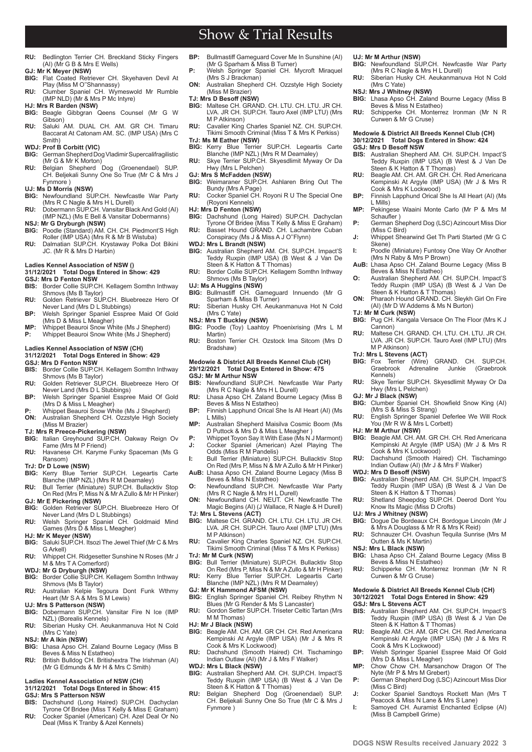- **RU:** Bedlington Terrier CH. Breckland Sticky Fingers (AI) (Mr G B & Mrs E Wells)
- **GJ: Mr K Meyer (NSW) BIG:** Flat Coated Retriever CH. Skyehaven Devil At Play (Miss M O''Shannassy)
- **RU:** Clumber Spaniel CH. Wymeswold Mr Rumble (IMP NLD) (Mr & Mrs P Mc Intyre) **HJ: Mrs R Barden (NSW)**
- **BIG:** Beagle Gibbgran Qeens Counsel (Mr G W
- Gibson) **RU:** Saluki AM. DUAL CH. AM. GR CH. Timaru Baccarat At Catonam AM. SC. (IMP USA) (Mrs C Smith)
- **WDJ: Prof B Corbitt (VIC)**<br>**BIG:** German Shepherd Do
- **BIG:** German Shepherd Dog Vladimir Supercalifragilistic (Mr G & Mr K Morton) **RU:** Belgian Shepherd Dog (Groenendael) SUP.
- CH. Beljekali Sunny One So True (Mr C & Mrs J Fynmore ) **UJ: Ms D Morris (NSW)**
- **BIG:** Newfoundland SUP.CH. Newfcastle War Party
- (Mrs R C Nagle & Mrs H L Durell) **RU:** Dobermann SUP.CH. Vansitar Black And Gold (AI)
- (IMP NZL) (Ms E Bell & Vansitar Dobermanns) **NSJ: Mr G Dryburgh (NSW)**
- **BIG:** Poodle (Standard) AM. CH. CH. Piedmont'S High Roller (IMP USA) (Mrs R & Mr B Wistuba) **RU:** Dalmatian SUP.CH. Krystaway Polka Dot Bikini
- JC. (Mr R & Mrs D Harbin)

### **Ladies Kennel Association of NSW ()**

## **31/12/2021 Total Dogs Entered in Show: 429 GSJ: Mrs D Fenton NSW**

- **Border Collie SUP.CH. Kellagem Somthn Inthway** Shmovs (Ms B Taylor)
- **RU:** Golden Retriever SUP.CH. Bluebreeze Hero Of
- Never Land (Mrs D L Stubbings) **BP:** Welsh Springer Spaniel Esspree Maid Of Gold (Mrs D & Miss L Meagher)
- **MP:** Whippet Beauroi Snow White (Ms J Shepherd)<br>**P:** Whippet Beauroi Snow White (Ms J Shepherd) **P:** Whippet Beauroi Snow White (Ms J Shepherd)

### **Ladies Kennel Association of NSW (CH) 31/12/2021 Total Dogs Entered in Show: 429**

- **GSJ: Mrs D Fenton NSW BIS:** Border Collie SUP.CH. Kellagem Somthn Inthway
- Shmovs (Ms B Taylor) **RU:** Golden Retriever SUP.CH. Bluebreeze Hero Of Never Land (Mrs D L Stubbings)
- **BP:** Welsh Springer Spaniel Esspree Maid Of Gold (Mrs D & Miss L Meagher) **P:** Whippet Beauroi Snow White (Ms J Shepherd)
- **ON:** Australian Shepherd CH. Ozzstyle High Society (Miss M Brazier)
- 
- **TJ: Mrs R Preece-Pickering (NSW) BIG:** Italian Greyhound SUP.CH. Oakway Reign Ov Fame (Mrs M P Friend)
- **RU:** Havanese CH. Karyme Funky Spaceman (Ms G Ransom)
- **TrJ: Dr D Lowe (NSW)**
- **BIG:** Kerry Blue Terrier SUP.CH. Legeartis Carte Blanche (IMP NZL) (Mrs R M Dearnaley)
- **RU:** Bull Terrier (Miniature) SUP.CH. Bullacktiv Stop On Red (Mrs P, Miss N & Mr A Zullo & Mr H Pinker)
- **GJ: Mr E Pickering (NSW)**
- **BIG:** Golden Retriever SUP.CH. Bluebreeze Hero Of Never Land (Mrs D L Stubbings) **RU:** Welsh Springer Spaniel CH. Goldmaid Mind Games (Mrs D & Miss L Meagher)
- **HJ: Mr K Meyer (NSW)**
- **BIG:** Saluki SUP.CH. Itsozi The Jewel Thief (Mr C & Mrs G Arkell)
- **RU:** Whippet CH. Ridgesetter Sunshine N Roses (Mr J M & Mrs T A Comerford)
- 
- **WDJ: Mr G Dryburgh (NSW) BIG:** Border Collie SUP.CH. Kellagem Somthn Inthway Shmovs (Ms B Taylor)<br>Australian Kelpie Teg **RU:** Australian Kelpie Tegoura Dont Funk Wthmy
- Heart (Mr S A & Mrs S M Lewis)
- **UJ: Mrs S Patterson (NSW) BIG:** Dobermann SUP.CH. Vansitar Fire N Ice (IMP NZL) (Borealis Kennels)
- **RU:** Siberian Husky CH. Aeukanmanuva Hot N Cold (Mrs C Yate)
- **NSJ: Mr A Ikin (NSW)** Lhasa Apso CH. Zaland Bourne Legacy (Miss B
- Beves & Miss N Estatheo) **RU:** British Bulldog CH. Britishextra The Irishman (AI)
- (Mr G Edmunds & Mr H & Mrs C Smith)

# **Ladies Kennel Association of NSW (CH)**

- **31/12/2021 Total Dogs Entered in Show: 415 GSJ: Mrs S Patterson NSW**
- 

**2 www.dogsnsw.org.au DOGS NSW Results received January 2022 3**

**BIS:** Dachshund (Long Haired) SUP.CH. Dachyclan Tyrone Of Bridee (Miss T Kelly & Miss E Graham) **RU:** Cocker Spaniel (American) CH. Azel Deal Or No Deal (Miss K Tranby & Azel Kennels)

**BP:** Bullmastiff Gameguard Cover Me In Sunshine (AI) (Mr G Sparham & Miss B Turner)

Show & Trial Results

- **P:** Welsh Springer Spaniel CH. Mycroft Miraquel (Mrs S J Brackman)
- **ON:** Australian Shepherd CH. Ozzstyle High Society (Miss M Brazier)
- 
- **TJ: Mrs D Besoff (NSW) BIG:** Maltese CH. GRAND. CH. LTU. CH. LTU. JR CH. LVA. JR CH. SUP.CH. Tauro Axel (IMP LTU) (Mrs M P Atkinson)
- **RU:** Cavalier King Charles Spaniel NZ. CH. SUP.CH. Tikimi Smooth Criminal (Miss T & Mrs K Perkiss) **TrJ: Ms M Eather (NSW)**
- **BIG:** Kerry Blue Terrier SUP.CH. Legeartis Carte Blanche (IMP NZL) (Mrs R M Dearnaley)
- **RU:** Skye Terrier SUP.CH. Skyesdlimit Myway Or Da Hwy (Mrs L Pelchen)
- **GJ: Mrs S McFadden (NSW)**<br>**BIG:** Weimaraner SUP.CH. **BIG:** Weimaraner SUP.CH. Ashlaren Bring Out The
- Bundy (Mrs A Page) **RU:** Cocker Spaniel CH. Royoni R U The Special One (Royoni Kennels)
- **HJ: Mrs D Fenton (NSW)**
- **BIG:** Dachshund (Long Haired) SUP.CH. Dachyclan Tyrone Of Bridee (Miss T Kelly & Miss E Graham) **RU:** Basset Hound GRAND. CH. Lachambre Cuban
- Conspiracy (Ms J & Miss A J O''Flynn)
- **WDJ: Mrs L Brandt (NSW)**<br>**BIG:** Australian Shepherd
- **BIG:** Australian Shepherd AM. CH. SUP.CH. Impact'S Teddy Ruxpin (IMP USA) (B West & J Van De Steen & K Hatton & T Thomas) **RU:** Border Collie SUP.CH. Kellagem Somthn Inthway
- Shmovs (Ms B Taylor)
- **UJ: Ms A Huggins (NSW)**
- **BIG:** Bullmastiff CH. Gameguard Innuendo (Mr G Sparham & Miss B Turner) **RU:** Siberian Husky CH. Aeukanmanuva Hot N Cold
- (Mrs C Yate)
- **NSJ: Mrs T Buckley (NSW)**
- **BIG:** Poodle (Toy) Laahtoy Phoenixrising (Mrs L M Martin) **RU:** Boston Terrier CH. Ozstock Ima Sitcom (Mrs D
- Bradshaw) **Medowie & District All Breeds Kennel Club (CH)**
- **29/12/2021 Total Dogs Entered in Show: 475 GSJ: Mr M Arthur NSW**
- **BIS:** Newfoundland SUP.CH. Newfcastle War Party (Mrs R C Nagle & Mrs H L Durell) **RU:** Lhasa Apso CH. Zaland Bourne Legacy (Miss B
- Beves & Miss N Estatheo)
- **BP:** Finnish Lapphund Orical She Is All Heart (AI) (Ms L Mills)
- **MP:** Australian Shepherd Maisilva Cosmic Boom (Ms D Puttock & Mrs D & Miss L Meagher )
- **P:** Whippet Toyon Say It With Ease (Ms N J Marmont)<br>**J:** Cocker Spaniel (American) Azel Plaving The **J:** Cocker Spaniel (American) Azel Playing The Odds (Miss R M Pandelis)
- 
- **I:** Bull Terrier (Miniature) SUP.CH. Bullacktiv Stop On Red (Mrs P, Miss N & Mr A Zullo & Mr H Pinker
- **AuB:** Lhasa Apso CH. Zaland Bourne Legacy (Miss B Beves & Miss N Estatheo) **O:** Newfoundland SUP.CH. Newfcastle War Party
- (Mrs R C Nagle & Mrs H L Durell) **ON:** Newfoundland CH. NEUT. CH. Newfcastle The

Magic Begins (AI) (J Wallace, R Nagle & H Durell) **TJ: Mrs L Stevens (ACT)**

- **BIG:** Maltese CH. GRAND. CH. LTU. CH. LTU. JR CH. LVA. JR CH. SUP.CH. Tauro Axel (IMP LTU) (Mrs M P Atkinson)
- **RU:** Cavalier King Charles Spaniel NZ. CH. SUP.CH. Tikimi Smooth Criminal (Miss T & Mrs K Perkiss)
- **TrJ: Mr M Curk (NSW)**
- **BIG:** Bull Terrier (Miniature) SUP.CH. Bullacktiv Stop On Red (Mrs P, Miss N & Mr A Zullo & Mr H Pinker) **RU:** Kerry Blue Terrier SUP.CH. Legeartis Carte Blanche (IMP NZL) (Mrs R M Dearnaley)
- 
- **GJ: Mr K Hammond AFSM (NSW) BIG:** English Springer Spaniel CH. Reibey Rhythm N Blues (Mr G Render & Ms S Lancaster)
- **RU:** Gordon Setter SUP.CH. Triseter Celtic Tartan (Mrs M M Thomas)
- **HJ: Mr J Black (NSW)**
- **BIG:** Beagle AM. CH. AM. GR CH. CH. Red Americana Kempinski At Argyle (IMP USA) (Mr J & Mrs R Cook & Mrs K Lockwood)
- **RU:** Dachshund (Smooth Haired) CH. Tischamingo Indian Outlaw (AI) (Mr J & Mrs F Walker)
- **WDJ: Mrs L Black (NSW)**
- **BIG:** Australian Shepherd AM. CH. SUP.CH. Impact'S Teddy Ruxpin (IMP USA) (B West & J Van De Steen & K Hatton & T Thomas)
- **RU:** Belgian Shepherd Dog (Groenendael) SUP. CH. Beljekali Sunny One So True (Mr C & Mrs J Fynmore )
- 
- **UJ: Mr M Arthur (NSW) BIG:** Newfoundland SUP.CH. Newfcastle War Party (Mrs R C Nagle & Mrs H L Durell)
- **RU:** Siberian Husky CH. Aeukanmanuva Hot N Cold (Mrs C Yate)
- 

**GSJ: Mrs D Besoff NSW**

L Mills)

Skene)

**TJ: Mr M Curk (NSW)**

M P Atkinson)

Hwy (Mrs L Pelchen) **GJ: Mr J Black (NSW)**

You (Mr R W & Mrs L Corbett)

Kennels)

**HJ: Mr M Arthur (NSW)**

**UJ: Mrs J Whitney (NSW)**

Outten & Ms K Martin) **NSJ: Mrs L Black (NSW)**

Curwen & Mr G Cruse)

Cook & Mrs K Lockwood)

(Miss B Campbell Grime)

**GSJ: Mrs L Stevens ACT**<br>**BIS:** Australian Shepherd

(Miss C Bird)

Schaufler )

(Miss C Bird)

**NSJ: Mrs J Whitney (NSW) BIG:** Lhasa Apso CH. Zaland Bourne Legacy (Miss B Beves & Miss N Estatheo)

**Medowie & District All Breeds Kennel Club (CH) 30/12/2021 Total Dogs Entered in Show: 424**

Steen & K Hatton & T Thomas)

(Mrs N Raby & Mrs P Brown)

Beves & Miss N Estatheo)

**RU:** Schipperke CH. Monterrez Ironman (Mr N R Curwen & Mr G Cruse)

**BIS:** Australian Shepherd AM. CH. SUP.CH. Impact'S Teddy Ruxpin (IMP USA) (B West & J Van De

**RU:** Beagle AM. CH. AM. GR CH. CH. Red Americana Kempinski At Argyle (IMP USA) (Mr J & Mrs R Cook & Mrs K Lockwood) **BP:** Finnish Lapphund Orical She Is All Heart (AI) (Ms

**MP:** Pekingese Waaini Monte Carlo (Mr P & Mrs M

**P:** German Shepherd Dog (LSC) Azincourt Miss Dior

**J:** Whippet Shearwind Get Th Parti Started (Mr G C

**I:** Poodle (Miniature) Funtosy One Way Or Another

**AuB:** Lhasa Apso CH. Zaland Bourne Legacy (Miss B

**O:** Australian Shepherd AM. CH. SUP.CH. Impact'S Teddy Ruxpin (IMP USA) (B West & J Van De Steen & K Hatton & T Thomas) **ON:** Pharaoh Hound GRAND. CH. Sleykh Girl On Fire (AI) (Mr D W Addems & Ms N Burton)

**BIG:** Pug CH. Kangala Versace On The Floor (Mrs K J Cannon) **RU:** Maltese CH. GRAND. CH. LTU. CH. LTU. JR CH. LVA. JR CH. SUP.CH. Tauro Axel (IMP LTU) (Mrs

**TrJ: Mrs L Stevens (ACT) BIG:** Fox Terrier (Wire) GRAND. CH. SUP.CH. Graebrook Adrenaline Junkie (Graebrook

**RU:** Skye Terrier SUP.CH. Skyesdlimit Myway Or Da

**BIG:** Clumber Spaniel CH. Showfield Snow King (AI) (Mrs S & Miss S Strang) **RU:** English Springer Spaniel Deferlee We Will Rock

**BIG:** Beagle AM. CH. AM. GR CH. CH. Red Americana Kempinski At Argyle (IMP USA) (Mr J & Mrs R Cook & Mrs K Lockwood) **RU:** Dachshund (Smooth Haired) CH. Tischamingo Indian Outlaw (AI) (Mr J & Mrs F Walker) **WDJ: Mrs D Besoff (NSW) BIG:** Australian Shepherd AM. CH. SUP.CH. Impact'S Teddy Ruxpin (IMP USA) (B West & J Van De Steen & K Hatton & T Thomas) **RU:** Shetland Sheepdog SUP.CH. Deerod Dont You Know Its Magic (Miss D Crofts)

**BIG:** Dogue De Bordeaux CH. Bordogue Lincoln (Mr J & Mrs A Douglass & Mr R & Mrs K Reid) **RU:** Schnauzer CH. Ovashun Tequila Sunrise (Mrs M

**BIG:** Lhasa Apso CH. Zaland Bourne Legacy (Miss B Beves & Miss N Estatheo) **RU:** Schipperke CH. Monterrez Ironman (Mr N R

**BIS:** Australian Shepherd AM. CH. SUP.CH. Impact'S Teddy Ruxpin (IMP USA) (B West & J Van De Steen & K Hatton & T Thomas) **RU:** Beagle AM. CH. AM. GR CH. CH. Red Americana Kempinski At Argyle (IMP USA) (Mr J & Mrs R

**BP:** Welsh Springer Spaniel Esspree Maid Of Gold (Mrs D & Miss L Meagher) **MP:** Chow Chow CH. Marsanchow Dragon Of The Nyte (Mr P & Mrs M Grebert) **P:** German Shepherd Dog (LSC) Azincourt Miss Dior

**J:** Cocker Spaniel Sandtoys Rockett Man (Mrs T Peacock & Miss N Lane & Mrs S Lane) **I:** Samoyed CH. Auramist Enchanted Eclipse (AI)

**Medowie & District All Breeds Kennel Club (CH) 30/12/2021 Total Dogs Entered in Show: 429**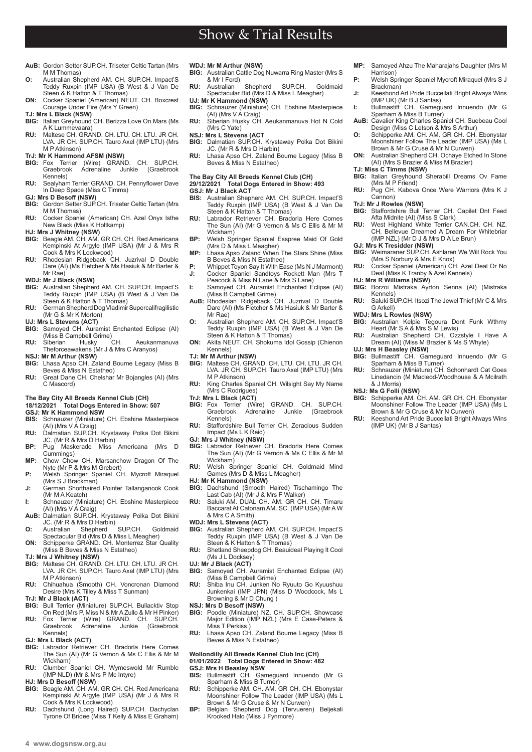- **AuB:** Gordon Setter SUP.CH. Triseter Celtic Tartan (Mrs M M Thomas)
- **O:** Australian Shepherd AM. CH. SUP.CH. Impact'S Teddy Ruxpin (IMP USA) (B West & J Van De Steen & K Hatton & T Thomas)
- **ON:** Cocker Spaniel (American) NEUT. CH. Boxcrest Courage Under Fire (Mrs Y Green)

**TJ: Mrs L Black (NSW)**

- **BIG:** Italian Greyhound CH. Berizza Love On Mars (Ms A K Lummevaara) **RU:** Maltese CH. GRAND. CH. LTU. CH. LTU. JR CH.
- LVA. JR CH. SUP.CH. Tauro Axel (IMP LTU) (Mrs M P Atkinson) **TrJ: Mr K Hammond AFSM (NSW)**
- **BIG:** Fox Terrier (Wire) GRAND. CH. SUP.CH. Graebrook Adrenaline Kennels)
- **RU:** Sealyham Terrier GRAND. CH. Pennyflower Dave In Deep Space (Miss C Timms)

#### **GJ: Mrs D Besoff (NSW)**

- **BIG:** Gordon Setter SUP.CH. Triseter Celtic Tartan (Mrs M M Thomas)
- Cocker Spaniel (American) CH. Azel Onyx Isthe New Black (Miss K Holtkamp)
- **HJ: Mrs J Whitney (NSW) BIG:** Beagle AM. CH. AM. GR CH. CH. Red Americana Kempinski At Argyle (IMP USA) (Mr J & Mrs R
- Cook & Mrs K Lockwood) **RU:** Rhodesian Ridgeback CH. Juzrival D Double Dare (AI) (Ms Fletcher & Ms Hasiuk & Mr Barter & Mr Rae)

#### **WDJ: Mr J Black (NSW)**

- **BIG:** Australian Shepherd AM. CH. SUP.CH. Impact'S Teddy Ruxpin (IMP USA) (B West & J Van De Steen & K Hatton & T Thomas)
- **RU:** German Shepherd Dog Vladimir Supercalifragilistic (Mr G & Mr K Morton)

- **UJ: Mrs L Stevens (ACT) BIG:** Samoyed CH. Auramist Enchanted Eclipse (AI) (Miss B Campbell Grime)<br>Siberian Husky
- **RU:** Siberian Husky CH. Aeukanmanuva Theforceawakens (Mr J & Mrs C Aranyos) **NSJ: Mr M Arthur (NSW)**
- **BIG:** Lhasa Apso CH. Zaland Bourne Legacy (Miss B Beves & Miss N Estatheo)
- **RU:** Great Dane CH. Chelshar Mr Bojangles (AI) (Mrs C Mascord)

#### **The Bay City All Breeds Kennel Club (CH) 18/12/12/2021 Total Dogs Entered in Show: 507**

# 18/12/2021 Total Dogs En<br>GSJ: Mr K Hammond NSW

- **BIS:** Schnauzer (Miniature) CH. Ebshine Masterpiece (AI) (Mrs V A Craig)
- **RU:** Dalmatian SUP.CH. Krystaway Polka Dot Bikini JC. (Mr R & Mrs D Harbin)
- **BP:** Pug Maskerade Miss Americana (Mrs D Cummings)
- **MP:** Chow Chow CH. Marsanchow Dragon Of The Nyte (Mr P & Mrs M Grebert)
- **P:** Welsh Springer Spaniel CH. Mycroft Miraquel (Mrs S J Brackman)
- **J:** German Shorthaired Pointer Tallanganook Cook (Mr M A Keatch)
- 
- **I:** Schnauzer (Miniature) CH. Ebshine Masterpiece (AI) (Mrs V A Craig)<br>**AuB:** Dalmatian SUP.CH. Krystaway Polka Dot Bikini<br>**JC.** (Mr R & Mrs D Harbin)<br>**O:** Australian Shepherd SUP.CH. Goldmaid
- Spectacular Bid (Mrs D & Miss L Meagher) **ON:** Schipperke GRAND. CH. Monterrez Star Quality
- (Miss B Beves & Miss N Estatheo)

### **TJ: Mrs J Whitney (NSW)**

- **BIG:** Maltese CH. GRAND. CH. LTU. CH. LTU. JR CH. LVA. JR CH. SUP.CH. Tauro Axel (IMP LTU) (Mrs M P Atkinson)
- **RU:** Chihuahua (Smooth) CH. Voncronan Diamond Desire (Mrs K Tilley & Miss T Sunman)
- **TrJ: Mr J Black (ACT)**
- **BIG:** Bull Terrier (Miniature) SUP.CH. Bullacktiv Stop On Red (Mrs P, Miss N & Mr A Zullo & Mr H Pinker)
- **RU:** Fox Terrier (Wire) GRAND. CH. SUP.CH.<br>Graebrook Adrenaline Junkie (Graebrook Graebrook Adrenaline Junkie Kennels)

### **GJ: Mrs L Black (ACT)**

- **BIG:** Labrador Retriever CH. Bradorla Here Comes The Sun (AI) (Mr G Vernon & Ms C Ellis & Mr M Wickham)
- **RU:** Clumber Spaniel CH. Wymeswold Mr Rumble (IMP NLD) (Mr & Mrs P Mc Intyre)
- **HJ: Mrs D Besoff (NSW)**
- **BIG:** Beagle AM. CH. AM. GR CH. CH. Red Americana Kempinski At Argyle (IMP USA) (Mr J & Mrs R Cook & Mrs K Lockwood)
- **RU:** Dachshund (Long Haired) SUP.CH. Dachyclan Tyrone Of Bridee (Miss T Kelly & Miss E Graham)

### **WDJ: Mr M Arthur (NSW)**

**BIG:** Australian Cattle Dog Nuwarra Ring Master (Mrs S & Mr I Ford)<br>Australian

Show & Trial Results

- **RU:** Australian Shepherd SUP.CH. Goldmaid Spectacular Bid (Mrs D & Miss L Meagher) **UJ: Mr K Hammond (NSW)**
- 
- **BIG:** Schnauzer (Miniature) CH. Ebshine Masterpiece (AI) (Mrs V A Craig) **RU:** Siberian Husky CH. Aeukanmanuva Hot N Cold
- (Mrs C Yate) **NSJ: Mrs L Stevens (ACT**
- **BIG:** Dalmatian SUP.CH. Krystaway Polka Dot Bikini JC. (Mr R & Mrs D Harbin)
- **RU:** Lhasa Apso CH. Zaland Bourne Legacy (Miss B Beves & Miss N Estatheo)

# **The Bay City All Breeds Kennel Club (CH)**

## **29/12/2021 Total Dogs Entered in Show: 493 GSJ: Mr J Black ACT**<br>**BIS:** Australian Sheph

- **BIS:** Australian Shepherd AM. CH. SUP.CH. Impact'S Teddy Ruxpin (IMP USA) (B West & J Van De Steen & K Hatton & T Thomas)
- **RU:** Labrador Retriever CH. Bradorla Here Comes The Sun (AI) (Mr G Vernon & Ms C Ellis & Mr M Wickham)
- **BP:** Welsh Springer Spaniel Esspree Maid Of Gold (Mrs D & Miss L Meagher)
- **MP:** Lhasa Apso Zaland When The Stars Shine (Miss B Beves & Miss N Estatheo)
- **P:** Whippet Toyon Say It With Ease (Ms N J Marmont) **J:** Cocker Spaniel Sandtoys Rockett Man (Mrs T
- Peacock & Miss N Lane & Mrs S Lane) **I:** Samoyed CH. Auramist Enchanted Eclipse (AI)
- (Miss B Campbell Grime) **AuB:** Rhodesian Ridgeback CH. Juzrival D Double Dare (AI) (Ms Fletcher & Ms Hasiuk & Mr Barter &
- Mr Rae) **O:** Australian Shepherd AM. CH. SUP.CH. Impact'S Teddy Ruxpin (IMP USA) (B West & J Van De Steen & K Hatton & T Thomas)
- **ON:** Akita NEUT. CH. Shokuma Idol Gossip (Chienon Kennels)

# **TJ: Mr M Arthur (NSW)**

- **BIG:** Maltese CH. GRAND. CH. LTU. CH. LTU. JR CH. LVA. JR CH. SUP.CH. Tauro Axel (IMP LTU) (Mrs M P Atkinson)
- **RU:** King Charles Spaniel CH. Wilsight Say My Name (Mrs C Rodrigues)
- **TrJ: Mrs L Black (ACT)**
- **BIG:** Fox Terrier (Wire) GRAND. CH. SUP.CH. Graebrook Adrenaline Junkie (Graebrook Kennels)
- Staffordshire Bull Terrier CH. Zeracious Sudden Impact (Ms L K Reid)
- 
- **GJ: Mrs J Whitney (NSW) BIG:** Labrador Retriever CH. Bradorla Here Comes The Sun (AI) (Mr G Vernon & Ms C Ellis & Mr M Wickham)
- **RU:** Welsh Springer Spaniel CH. Goldmaid Mind Games (Mrs D & Miss L Meagher)
- **HJ: Mr K Hammond (NSW)**<br>**BIG:** Dachshund (Smooth) **BIG:** Dachshund (Smooth Haired) Tischamingo The Last Cab (AI) (Mr J & Mrs F Walker) **RU:** Saluki AM. DUAL CH. AM. GR CH. CH. Timaru
- Baccarat At Catonam AM. SC. (IMP USA) (Mr A W & Mrs C A Smith)
- 
- **WDJ: Mrs L Stevens (ACT) BIG:** Australian Shepherd AM. CH. SUP.CH. Impact'S Teddy Ruxpin (IMP USA) (B West & J Van De Steen & K Hatton & T Thomas)
- **RU:** Shetland Sheepdog CH. Beauideal Playing It Cool (Ms J L Docksey)
- **UJ: Mr J Black (ACT)**
- **BIG:** Samoyed CH. Auramist Enchanted Eclipse (AI) (Miss B Campbell Grime) **RU:** Shiba Inu CH. Junken No Ryuuto Go Kyuushuu
- Junkenkai (IMP JPN) (Miss D Woodcock, Ms L Browning & Mr D Chung )
- **NSJ: Mrs D Besoff (NSW)**
- **BIG:** Poodle (Miniature) NZ. CH. SUP.CH. Showcase Major Edition (IMP NZL) (Mrs E Case-Peters & Miss T Perkiss )
- **RU:** Lhasa Apso CH. Zaland Bourne Legacy (Miss B Beves & Miss N Estatheo)

## **Wollondilly All Breeds Kennel Club Inc (CH) 01/01/2022 Total Dogs Entered in Show: 482**

- **GSJ: Mrs H Beasley NSW BIS:** Bullmastiff CH. Gameguard Innuendo (Mr G Sparham & Miss B Turner)
- **RU:** Schipperke AM. CH. AM. GR CH. CH. Ebonystar Moonshiner Follow The Leader (IMP USA) (Ms L Brown & Mr G Cruse & Mr N Curwen) **BP:** Belgian Shepherd Dog (Tervueren) Beljekali
- Krooked Halo (Miss J Fynmore)
- **MP:** Samoyed Ahzu The Maharajahs Daughter (Mrs M Harrison)
- **P:** Welsh Springer Spaniel Mycroft Miraquel (Mrs S J Brackman)
- **J:** Keeshond Art Pride Buccellati Bright Always Wins (IMP UK) (Mr B J Santas) **I:** Bullmastiff CH. Gameguard Innuendo (Mr G
- Sparham & Miss B Turner) **AuB:** Cavalier King Charles Spaniel CH. Suebeau Cool
- Design (Miss C Letson & Mrs S Arthur) **O:** Schipperke AM. CH. AM. GR CH. CH. Ebonystar
- Moonshiner Follow The Leader (IMP USA) (Ms L Brown & Mr G Cruse & Mr N Curwen) **ON:** Australian Shepherd CH. Ochaye Etched In Stone
- (AI) (Mrs S Brazier & Miss M Brazier)
- **TJ: Miss C Timms (NSW)**
- **BIG:** Italian Greyhound Sherabill Dreams Ov Fame (Mrs M P Friend) **RU:** Pug CH. Kabova Once Were Warriors (Mrs K J
- Cannon)

**GJ: Mrs K Tresidder (NSW)**

**HJ: Mrs R Williams (NSW)**

Kennels)

G Arkell) **WDJ: Mrs L Rowles (NSW)**

& J Morris) **NSJ: Ms G Folli (NSW)**

**TrJ: Mr J Rowles (NSW) BIG:** Staffordshire Bull Terrier CH. Capilet Dnt Feed Afta Midnite (AI) (Miss S Clark) **RU:** West Highland White Terrier CAN.CH. CH. NZ. CH. Bellevue Dreamed A Dream For Whitebriar

**BIG:** Weimaraner SUP.CH. Ashlaren We Will Rock You (Mrs S Norbury & Mrs E Knox) **RU:** Cocker Spaniel (American) CH. Azel Deal Or No Deal (Miss K Tranby & Azel Kennels)

**BIG:** Borzoi Mistraka Ayrton Senna (AI) (Mistraka

**RU:** Saluki SUP.CH. Itsozi The Jewel Thief (Mr C & Mrs

**BIG:** Australian Kelpie Tegoura Dont Funk Wthmy Heart (Mr S A & Mrs S M Lewis) **RU:** Australian Shepherd CH. Ozzstyle I Have A Dream (AI) (Miss M Brazier & Ms S Whyte)

**UJ: Mrs H Beasley (NSW)**<br>**BIG:** Bullmastiff CH. Gameguard Innuendo (Mr G<br>**RU:** Schnauzer (Miniature) CH. Schonhardt Cat Goes Linedancin (M Macleod-Woodhouse & A Mcilrath

**BIG:** Schipperke AM. CH. AM. GR CH. CH. Ebonystar Moonshiner Follow The Leader (IMP USA) (Ms L Brown & Mr G Cruse & Mr N Curwen) **RU:** Keeshond Art Pride Buccellati Bright Always Wins

(IMP UK) (Mr B J Santas)

(IMP NZL) (Mr D J & Mrs D A Le Brun)

**4 www.dogsnsw.org.au DOGS NSW Results received January 2022 5**